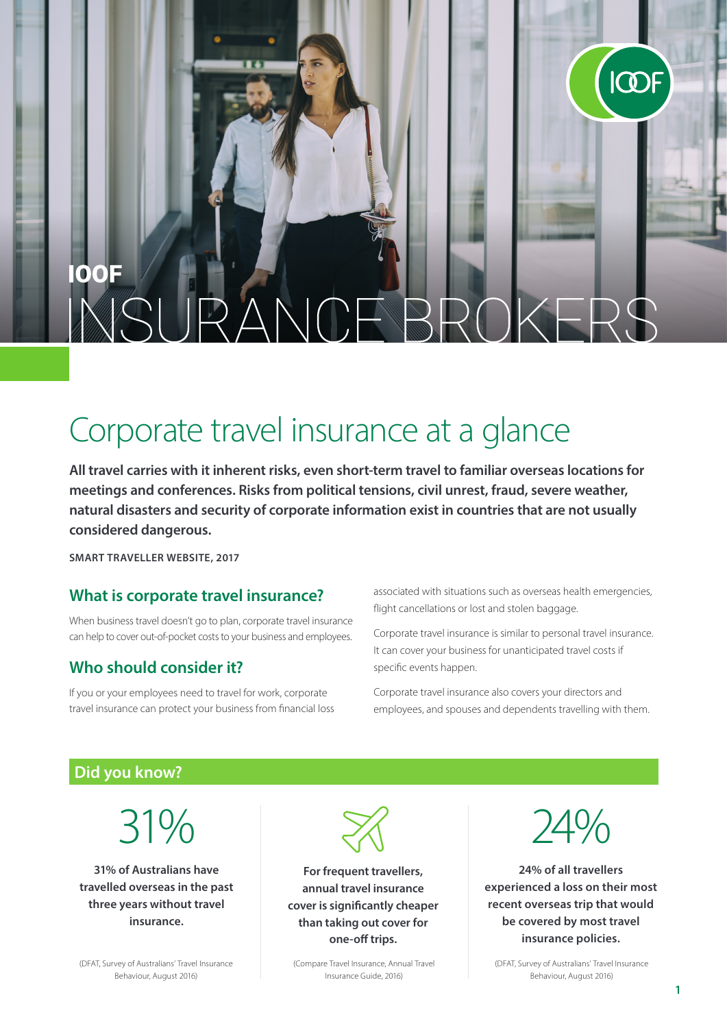# **OOF**  $\wedge \wedge$

# Corporate travel insurance at a glance

**All travel carries with it inherent risks, even short-term travel to familiar overseas locations for meetings and conferences. Risks from political tensions, civil unrest, fraud, severe weather, natural disasters and security of corporate information exist in countries that are not usually considered dangerous.**

**SMART TRAVELLER WEBSITE, 2017**

#### **What is corporate travel insurance?**

When business travel doesn't go to plan, corporate travel insurance can help to cover out-of-pocket costs to your business and employees.

#### **Who should consider it?**

If you or your employees need to travel for work, corporate travel insurance can protect your business from financial loss associated with situations such as overseas health emergencies, flight cancellations or lost and stolen baggage.

Corporate travel insurance is similar to personal travel insurance. It can cover your business for unanticipated travel costs if specific events happen.

Corporate travel insurance also covers your directors and employees, and spouses and dependents travelling with them.

#### **Did you know?**

31%

**31% of Australians have travelled overseas in the past three years without travel insurance.**

(DFAT, Survey of Australians' Travel Insurance Behaviour, August 2016)



**For frequent travellers, annual travel insurance cover is significantly cheaper than taking out cover for one-off trips.**

(Compare Travel Insurance, Annual Travel Insurance Guide, 2016)



ICOF

**24% of all travellers experienced a loss on their most recent overseas trip that would be covered by most travel insurance policies.**

(DFAT, Survey of Australians' Travel Insurance Behaviour, August 2016)